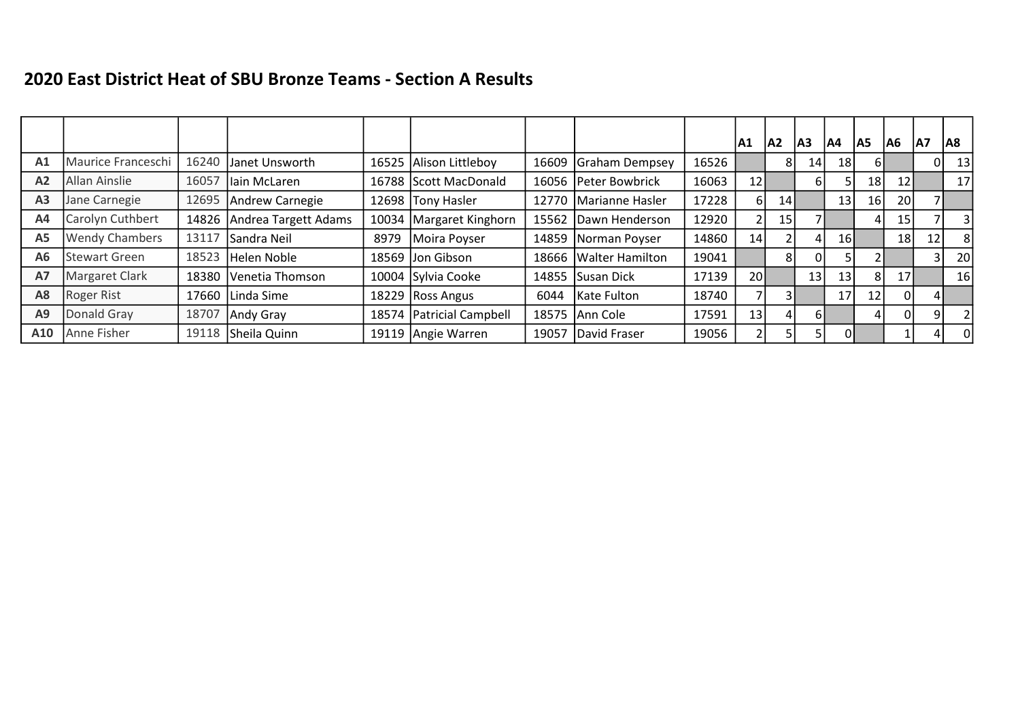## 2020 East District Heat of SBU Bronze Teams - Section A Results

|                |                       |       |                      |       |                            |       |                       |       | A1 | IA2 | lA3 | lA4 | A5              | A6              | A7 | A8             |
|----------------|-----------------------|-------|----------------------|-------|----------------------------|-------|-----------------------|-------|----|-----|-----|-----|-----------------|-----------------|----|----------------|
| A <sub>1</sub> | Maurice Franceschi    | 16240 | Janet Unsworth       | 16525 | Alison Littleboy           | 16609 | Graham Dempsey        | 16526 |    |     | 14  | 18  |                 |                 | 01 | 13             |
| A <sub>2</sub> | Allan Ainslie         | 16057 | llain McLaren        | 16788 | Scott MacDonald            |       | 16056 Peter Bowbrick  | 16063 | 12 |     | 61  |     | 18 <sup>1</sup> | 12 <sub>1</sub> |    | 17             |
| A <sub>3</sub> | Jane Carnegie         | 12695 | Andrew Carnegie      | 12698 | Tony Hasler                | 12770 | Marianne Hasler       | 17228 | 6  | 14  |     | 13  | 16              | 20              |    |                |
| A4             | Carolyn Cuthbert      | 14826 | Andrea Targett Adams | 10034 | Margaret Kinghorn          | 15562 | Dawn Henderson        | 12920 |    | 15  |     |     |                 | 15              |    | 3              |
| <b>A5</b>      | <b>Wendy Chambers</b> | 13117 | Sandra Neil          | 8979  | Moira Poyser               |       | 14859 Norman Poyser   | 14860 | 14 |     |     | 16  |                 | 18              | 12 | -81            |
| A <sub>6</sub> | <b>Stewart Green</b>  | 18523 | Helen Noble          | 18569 | Jon Gibson                 |       | 18666 Walter Hamilton | 19041 |    |     |     |     |                 |                 |    | 20             |
| <b>A7</b>      | <b>Margaret Clark</b> | 18380 | Venetia Thomson      |       | 10004 Sylvia Cooke         |       | 14855 Susan Dick      | 17139 | 20 |     | 13  | 13  | 81              | 17 <sub>l</sub> |    | 16             |
| A8             | <b>Roger Rist</b>     | 17660 | Linda Sime           | 18229 | Ross Angus                 | 6044  | Kate Fulton           | 18740 | 7  |     |     | 17  | 12              | $\mathbf{0}$    |    |                |
| A9             | Donald Gray           | 18707 | Andy Gray            |       | 18574   Patricial Campbell |       | 18575 Ann Cole        | 17591 | 13 |     | 6 I |     |                 | 0               | 91 |                |
| A10            | Anne Fisher           | 19118 | Sheila Quinn         |       | 19119 Angie Warren         | 19057 | David Fraser          | 19056 | 2  |     | 5   | 01  |                 |                 |    | $\overline{0}$ |